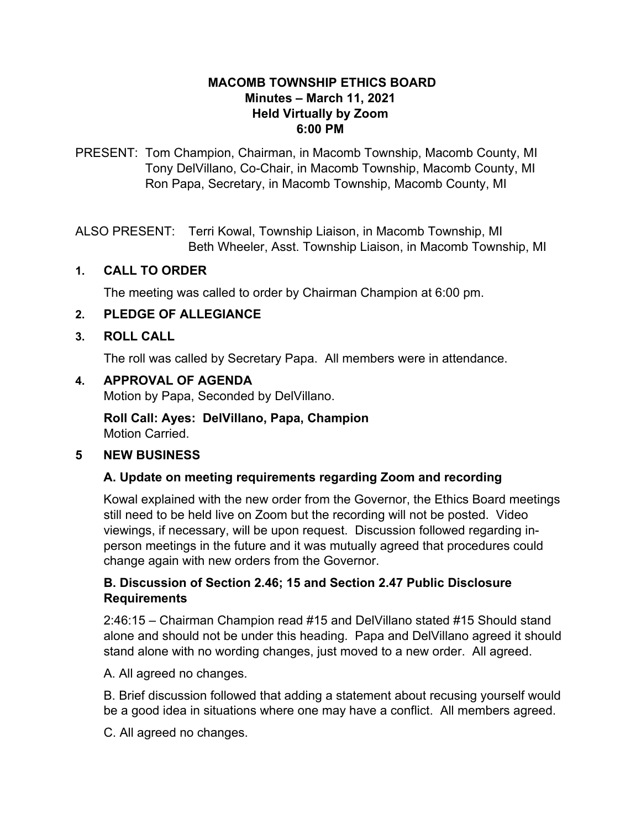#### **MACOMB TOWNSHIP ETHICS BOARD Minutes – March 11, 2021 Held Virtually by Zoom 6:00 PM**

PRESENT: Tom Champion, Chairman, in Macomb Township, Macomb County, MI Tony DelVillano, Co-Chair, in Macomb Township, Macomb County, MI Ron Papa, Secretary, in Macomb Township, Macomb County, MI

ALSO PRESENT: Terri Kowal, Township Liaison, in Macomb Township, MI Beth Wheeler, Asst. Township Liaison, in Macomb Township, MI

### **1. CALL TO ORDER**

The meeting was called to order by Chairman Champion at 6:00 pm.

### **2. PLEDGE OF ALLEGIANCE**

#### **3. ROLL CALL**

The roll was called by Secretary Papa. All members were in attendance.

### **4. APPROVAL OF AGENDA**

Motion by Papa, Seconded by DelVillano.

**Roll Call: Ayes: DelVillano, Papa, Champion** Motion Carried.

#### **5 NEW BUSINESS**

# **A. Update on meeting requirements regarding Zoom and recording**

Kowal explained with the new order from the Governor, the Ethics Board meetings still need to be held live on Zoom but the recording will not be posted. Video viewings, if necessary, will be upon request. Discussion followed regarding inperson meetings in the future and it was mutually agreed that procedures could change again with new orders from the Governor.

# **B. Discussion of Section 2.46; 15 and Section 2.47 Public Disclosure Requirements**

2:46:15 – Chairman Champion read #15 and DelVillano stated #15 Should stand alone and should not be under this heading. Papa and DelVillano agreed it should stand alone with no wording changes, just moved to a new order. All agreed.

A. All agreed no changes.

B. Brief discussion followed that adding a statement about recusing yourself would be a good idea in situations where one may have a conflict. All members agreed.

C. All agreed no changes.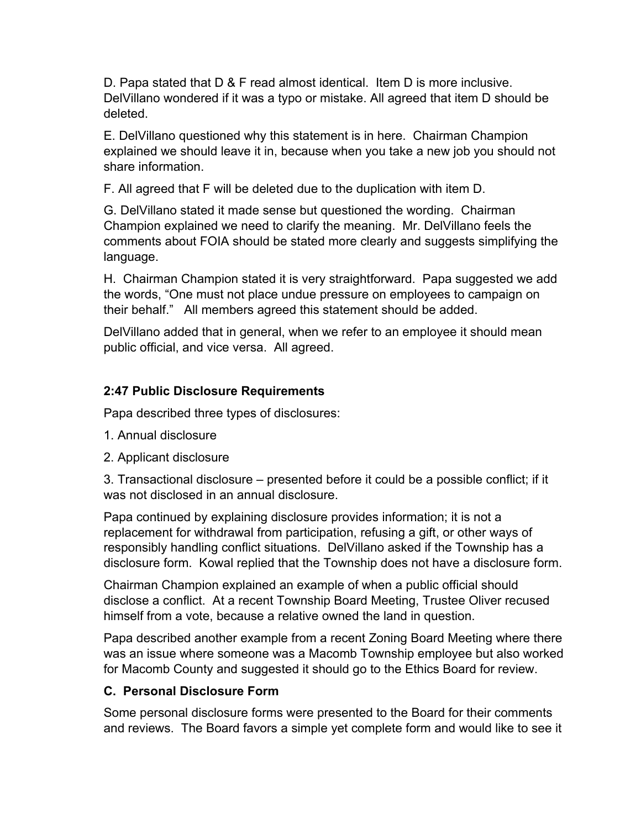D. Papa stated that D & F read almost identical. Item D is more inclusive. DelVillano wondered if it was a typo or mistake. All agreed that item D should be deleted.

E. DelVillano questioned why this statement is in here. Chairman Champion explained we should leave it in, because when you take a new job you should not share information.

F. All agreed that F will be deleted due to the duplication with item D.

G. DelVillano stated it made sense but questioned the wording. Chairman Champion explained we need to clarify the meaning. Mr. DelVillano feels the comments about FOIA should be stated more clearly and suggests simplifying the language.

H. Chairman Champion stated it is very straightforward. Papa suggested we add the words, "One must not place undue pressure on employees to campaign on their behalf." All members agreed this statement should be added.

DelVillano added that in general, when we refer to an employee it should mean public official, and vice versa. All agreed.

# **2:47 Public Disclosure Requirements**

Papa described three types of disclosures:

- 1. Annual disclosure
- 2. Applicant disclosure

3. Transactional disclosure – presented before it could be a possible conflict; if it was not disclosed in an annual disclosure.

Papa continued by explaining disclosure provides information; it is not a replacement for withdrawal from participation, refusing a gift, or other ways of responsibly handling conflict situations. DelVillano asked if the Township has a disclosure form. Kowal replied that the Township does not have a disclosure form.

Chairman Champion explained an example of when a public official should disclose a conflict. At a recent Township Board Meeting, Trustee Oliver recused himself from a vote, because a relative owned the land in question.

Papa described another example from a recent Zoning Board Meeting where there was an issue where someone was a Macomb Township employee but also worked for Macomb County and suggested it should go to the Ethics Board for review.

# **C. Personal Disclosure Form**

Some personal disclosure forms were presented to the Board for their comments and reviews. The Board favors a simple yet complete form and would like to see it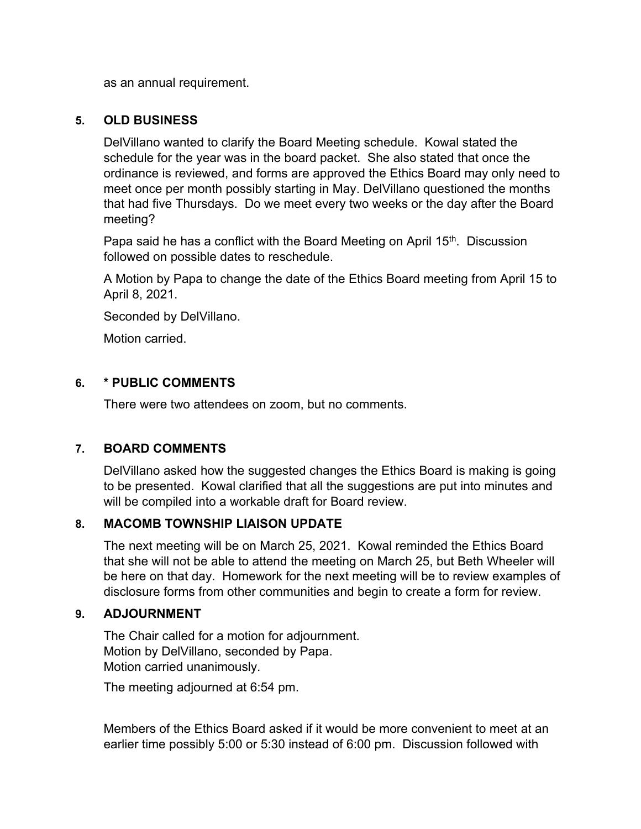as an annual requirement.

#### **5. OLD BUSINESS**

DelVillano wanted to clarify the Board Meeting schedule. Kowal stated the schedule for the year was in the board packet. She also stated that once the ordinance is reviewed, and forms are approved the Ethics Board may only need to meet once per month possibly starting in May. DelVillano questioned the months that had five Thursdays. Do we meet every two weeks or the day after the Board meeting?

Papa said he has a conflict with the Board Meeting on April 15<sup>th</sup>. Discussion followed on possible dates to reschedule.

A Motion by Papa to change the date of the Ethics Board meeting from April 15 to April 8, 2021.

Seconded by DelVillano.

Motion carried.

### **6. \* PUBLIC COMMENTS**

There were two attendees on zoom, but no comments.

# **7. BOARD COMMENTS**

DelVillano asked how the suggested changes the Ethics Board is making is going to be presented. Kowal clarified that all the suggestions are put into minutes and will be compiled into a workable draft for Board review.

# **8. MACOMB TOWNSHIP LIAISON UPDATE**

The next meeting will be on March 25, 2021. Kowal reminded the Ethics Board that she will not be able to attend the meeting on March 25, but Beth Wheeler will be here on that day. Homework for the next meeting will be to review examples of disclosure forms from other communities and begin to create a form for review.

#### **9. ADJOURNMENT**

The Chair called for a motion for adjournment. Motion by DelVillano, seconded by Papa. Motion carried unanimously.

The meeting adjourned at 6:54 pm.

Members of the Ethics Board asked if it would be more convenient to meet at an earlier time possibly 5:00 or 5:30 instead of 6:00 pm. Discussion followed with